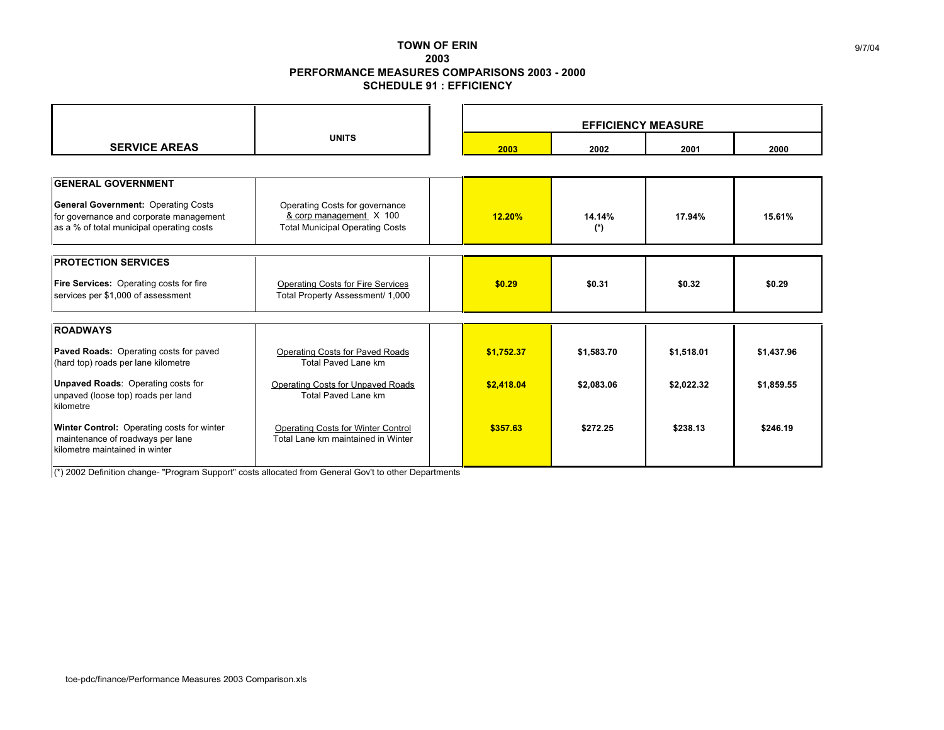## **TOWN OF ERIN 2003 PERFORMANCE MEASURES COMPARISONS 2003 - 2000 SCHEDULE 91 : EFFICIENCY**

|                                                                                                                                                                 |                                                                                                     |  | <b>EFFICIENCY MEASURE</b> |               |            |            |  |
|-----------------------------------------------------------------------------------------------------------------------------------------------------------------|-----------------------------------------------------------------------------------------------------|--|---------------------------|---------------|------------|------------|--|
| <b>SERVICE AREAS</b>                                                                                                                                            | <b>UNITS</b>                                                                                        |  | 2003                      | 2002          | 2001       | 2000       |  |
|                                                                                                                                                                 |                                                                                                     |  |                           |               |            |            |  |
| <b>GENERAL GOVERNMENT</b><br><b>General Government: Operating Costs</b><br>for governance and corporate management<br>as a % of total municipal operating costs | Operating Costs for governance<br>& corp management X 100<br><b>Total Municipal Operating Costs</b> |  | 12.20%                    | 14.14%<br>(*) | 17.94%     | 15.61%     |  |
| <b>PROTECTION SERVICES</b>                                                                                                                                      |                                                                                                     |  |                           |               |            |            |  |
| Fire Services: Operating costs for fire<br>services per \$1,000 of assessment                                                                                   | <b>Operating Costs for Fire Services</b><br>Total Property Assessment/ 1,000                        |  | \$0.29                    | \$0.31        | \$0.32     | \$0.29     |  |
| <b>ROADWAYS</b>                                                                                                                                                 |                                                                                                     |  |                           |               |            |            |  |
| Paved Roads: Operating costs for paved<br>(hard top) roads per lane kilometre                                                                                   | <b>Operating Costs for Paved Roads</b><br>Total Paved Lane km                                       |  | \$1,752.37                | \$1,583.70    | \$1,518.01 | \$1,437.96 |  |
| <b>Unpaved Roads: Operating costs for</b><br>unpaved (loose top) roads per land<br>kilometre                                                                    | <b>Operating Costs for Unpaved Roads</b><br><b>Total Paved Lane km</b>                              |  | \$2,418.04                | \$2,083.06    | \$2,022.32 | \$1,859.55 |  |
| Winter Control: Operating costs for winter<br>maintenance of roadways per lane<br>kilometre maintained in winter                                                | <b>Operating Costs for Winter Control</b><br>Total Lane km maintained in Winter                     |  | \$357.63                  | \$272.25      | \$238.13   | \$246.19   |  |

(\*) 2002 Definition change- "Program Support" costs allocated from General Gov't to other Departments